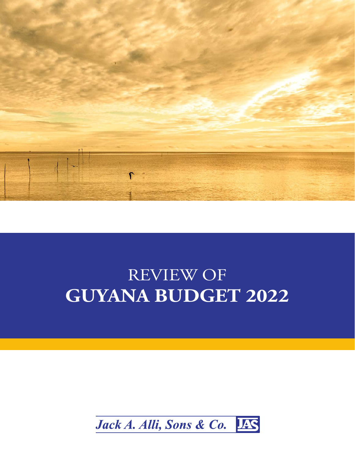

# REVIEW OF **GUYANA BUDGET 2022**

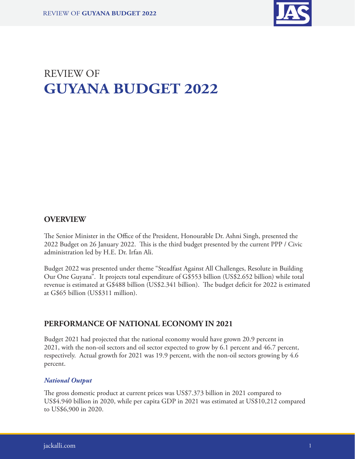

# REVIEW OF **GUYANA BUDGET 2022**

## **OVERVIEW**

The Senior Minister in the Office of the President, Honourable Dr. Ashni Singh, presented the 2022 Budget on 26 January 2022. This is the third budget presented by the current PPP / Civic administration led by H.E. Dr. Irfan Ali.

Budget 2022 was presented under theme "Steadfast Against All Challenges, Resolute in Building Our One Guyana". It projects total expenditure of G\$553 billion (US\$2.652 billion) while total revenue is estimated at G\$488 billion (US\$2.341 billion). The budget deficit for 2022 is estimated at G\$65 billion (US\$311 million).

### **PERFORMANCE OF NATIONAL ECONOMY IN 2021**

Budget 2021 had projected that the national economy would have grown 20.9 percent in 2021, with the non-oil sectors and oil sector expected to grow by 6.1 percent and 46.7 percent, respectively. Actual growth for 2021 was 19.9 percent, with the non-oil sectors growing by 4.6 percent.

#### *National Output*

The gross domestic product at current prices was US\$7.373 billion in 2021 compared to US\$4.940 billion in 2020, while per capita GDP in 2021 was estimated at US\$10,212 compared to US\$6,900 in 2020.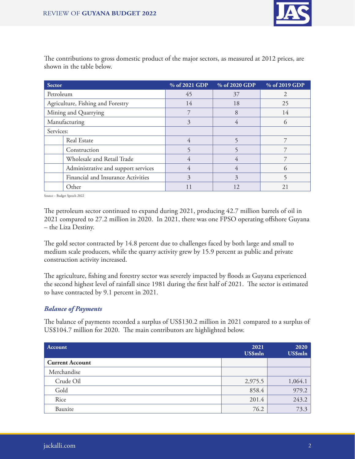

| <b>Sector</b>                       | % of 2021 GDP | % of 2020 GDP | % of 2019 GDP  |
|-------------------------------------|---------------|---------------|----------------|
| Petroleum                           | 45            | 37            | $\mathfrak{D}$ |
| Agriculture, Fishing and Forestry   | 14            | 18            | 25             |
| Mining and Quarrying                |               | 8             | 14             |
| Manufacturing                       | 3             | 4             | $\Omega$       |
| Services:                           |               |               |                |
| Real Estate                         | 4             |               |                |
| Construction                        |               |               |                |
| Wholesale and Retail Trade          | 4             | 4             |                |
| Administrative and support services | 4             | 4             | ่ (า           |
| Financial and Insurance Activities  | 3             | 3             | 5              |
| Other                               |               |               | 21             |

The contributions to gross domestic product of the major sectors, as measured at 2012 prices, are shown in the table below.

Source – Budget Speech 2022

The petroleum sector continued to expand during 2021, producing 42.7 million barrels of oil in 2021 compared to 27.2 million in 2020. In 2021, there was one FPSO operating offshore Guyana – the Liza Destiny.

The gold sector contracted by 14.8 percent due to challenges faced by both large and small to medium scale producers, while the quarry activity grew by 15.9 percent as public and private construction activity increased.

The agriculture, fishing and forestry sector was severely impacted by floods as Guyana experienced the second highest level of rainfall since 1981 during the first half of 2021. The sector is estimated to have contracted by 9.1 percent in 2021.

#### *Balance of Payments*

The balance of payments recorded a surplus of US\$130.2 million in 2021 compared to a surplus of US\$104.7 million for 2020. The main contributors are highlighted below.

| Account                | 2021<br><b>US\$mln</b> | 2020<br>US\$mln |
|------------------------|------------------------|-----------------|
| <b>Current Account</b> |                        |                 |
| Merchandise            |                        |                 |
| Crude Oil              | 2,975.5                | 1,064.1         |
| Gold                   | 858.4                  | 979.2           |
| Rice                   | 201.4                  | 243.2           |
| Bauxite                | 76.2                   | 73.3            |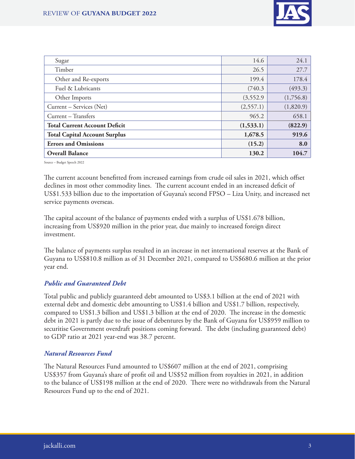

| Sugar                                | 14.6      | 24.1      |
|--------------------------------------|-----------|-----------|
| Timber                               | 26.5      | 27.7      |
| Other and Re-exports                 | 199.4     | 178.4     |
| Fuel & Lubricants                    | (740.3)   | (493.3)   |
| Other Imports                        | (3,552.9) | (1,756.8) |
| Current – Services (Net)             | (2,557.1) | (1,820.9) |
| Current - Transfers                  | 965.2     | 658.1     |
| <b>Total Current Account Deficit</b> | (1,533.1) | (822.9)   |
| <b>Total Capital Account Surplus</b> | 1,678.5   | 919.6     |
| <b>Errors and Omissions</b>          | (15.2)    | 8.0       |
| <b>Overall Balance</b>               | 130.2     | 104.7     |

Source – Budget Speech 2022

The current account benefitted from increased earnings from crude oil sales in 2021, which offset declines in most other commodity lines. The current account ended in an increased deficit of US\$1.533 billion due to the importation of Guyana's second FPSO – Liza Unity, and increased net service payments overseas.

The capital account of the balance of payments ended with a surplus of US\$1.678 billion, increasing from US\$920 million in the prior year, due mainly to increased foreign direct investment.

The balance of payments surplus resulted in an increase in net international reserves at the Bank of Guyana to US\$810.8 million as of 31 December 2021, compared to US\$680.6 million at the prior year end.

#### *Public and Guaranteed Debt*

Total public and publicly guaranteed debt amounted to US\$3.1 billion at the end of 2021 with external debt and domestic debt amounting to US\$1.4 billion and US\$1.7 billion, respectively, compared to US\$1.3 billion and US\$1.3 billion at the end of 2020. The increase in the domestic debt in 2021 is partly due to the issue of debentures by the Bank of Guyana for US\$959 million to securitise Government overdraft positions coming forward. The debt (including guaranteed debt) to GDP ratio at 2021 year-end was 38.7 percent.

#### *Natural Resources Fund*

The Natural Resources Fund amounted to US\$607 million at the end of 2021, comprising US\$357 from Guyana's share of profit oil and US\$52 million from royalties in 2021, in addition to the balance of US\$198 million at the end of 2020. There were no withdrawals from the Natural Resources Fund up to the end of 2021.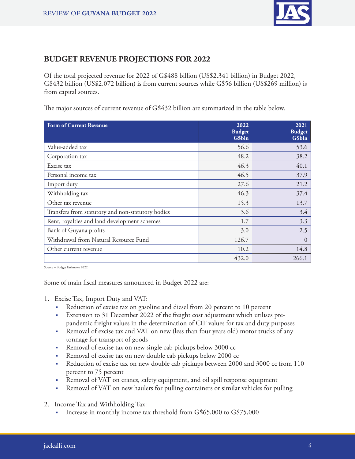

# **BUDGET REVENUE PROJECTIONS FOR 2022**

Of the total projected revenue for 2022 of G\$488 billion (US\$2.341 billion) in Budget 2022, G\$432 billion (US\$2.072 billion) is from current sources while G\$56 billion (US\$269 million) is from capital sources.

The major sources of current revenue of G\$432 billion are summarized in the table below.

| <b>Form of Current Revenue</b>                    | 2022<br><b>Budget</b><br>G\$bln | 2021<br><b>Budget</b><br>G\$bln |
|---------------------------------------------------|---------------------------------|---------------------------------|
| Value-added tax                                   | 56.6                            | 53.6                            |
| Corporation tax                                   | 48.2                            | 38.2                            |
| Excise tax                                        | 46.3                            | 40.1                            |
| Personal income tax                               | 46.5                            | 37.9                            |
| Import duty                                       | 27.6                            | 21.2                            |
| Withholding tax                                   | 46.3                            | 37.4                            |
| Other tax revenue                                 | 15.3                            | 13.7                            |
| Transfers from statutory and non-statutory bodies | 3.6                             | 3.4                             |
| Rent, royalties and land development schemes      | 1.7                             | 3.3                             |
| Bank of Guyana profits                            | 3.0                             | 2.5                             |
| Withdrawal from Natural Resource Fund             | 126.7                           | $\theta$                        |
| Other current revenue                             | 10.2                            | 14.8                            |
|                                                   | 432.0                           | 266.1                           |

Source – Budget Estimates 2022

Some of main fiscal measures announced in Budget 2022 are:

- 1. Excise Tax, Import Duty and VAT:
	- Reduction of excise tax on gasoline and diesel from 20 percent to 10 percent
	- Extension to 31 December 2022 of the freight cost adjustment which utilises prepandemic freight values in the determination of CIF values for tax and duty purposes
	- Removal of excise tax and VAT on new (less than four years old) motor trucks of any tonnage for transport of goods
	- Removal of excise tax on new single cab pickups below 3000 cc
	- Removal of excise tax on new double cab pickups below 2000 cc
	- Reduction of excise tax on new double cab pickups between 2000 and 3000 cc from 110 percent to 75 percent
	- Removal of VAT on cranes, safety equipment, and oil spill response equipment
	- Removal of VAT on new haulers for pulling containers or similar vehicles for pulling
- 2. Income Tax and Withholding Tax:
	- Increase in monthly income tax threshold from G\$65,000 to G\$75,000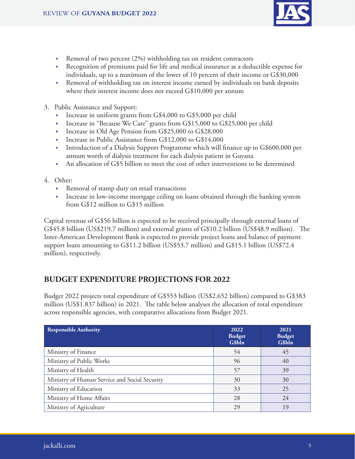

- Removal of two percent (2%) withholding tax on resident contractors
- Recognition of premiums paid for life and medical insurance as a deductible expense for individuals, up to a maximum of the lower of 10 percent of their income or G\$30,000
- Removal of withholding tax on interest income earned by individuals on bank deposits where their interest income does not exceed G\$10,000 per annum
- 3. Public Assistance and Support:
	- Increase in uniform grants from G\$4,000 to G\$5,000 per child
	- Increase in "Because We Care" grants from G\$15,000 to G\$25,000 per child
	- Increase in Old Age Pension from G\$25,000 to G\$28,000
	- Increase in Public Assistance from G\$12,000 to G\$14,000
	- Introduction of a Dialysis Support Programme which will finance up to G\$600,000 per annum worth of dialysis treatment for each dialysis patient in Guyana
	- An allocation of G\$5 billion to meet the cost of other interventions to be determined

#### 4. Other:

- Removal of stamp duty on retail transactions
- Increase in low-income mortgage ceiling on loans obtained through the banking system from G\$12 million to G\$15 million

Capital revenue of G\$56 billion is expected to be received principally through external loans of G\$45.8 billion (US\$219.7 million) and external grants of G\$10.2 billion (US\$48.9 million). The Inter-American Development Bank is expected to provide project loans and balance of payment support loans amounting to G\$11.2 billion (US\$53.7 million) and G\$15.1 billion (US\$72.4 million), respectively.

# **BUDGET EXPENDITURE PROJECTIONS FOR 2022**

Budget 2022 projects total expenditure of G\$553 billion (US\$2.652 billion) compared to G\$383 million (US\$1.837 billion) in 2021. The table below analyses the allocation of total expenditure across responsible agencies, with comparative allocations from Budget 2021.

| <b>Responsible Authority</b>                  | 2022<br><b>Budget</b><br>G\$bln | 2021<br><b>Budget</b><br>G\$bln |
|-----------------------------------------------|---------------------------------|---------------------------------|
| Ministry of Finance                           | 54                              | 45                              |
| Ministry of Public Works                      | 96                              | 40                              |
| Ministry of Health                            | 57                              | 39                              |
| Ministry of Human Service and Social Security | 30                              | 30                              |
| Ministry of Education                         | 33                              | 25                              |
| Ministry of Home Affairs                      | 28                              | 24                              |
| Ministry of Agriculture                       | 29                              | 19                              |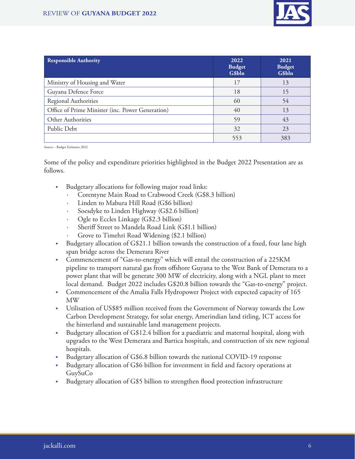

| <b>Responsible Authority</b>                     | 2022<br><b>Budget</b><br>G\$bln | 2021<br><b>Budget</b><br>G\$bln |
|--------------------------------------------------|---------------------------------|---------------------------------|
| Ministry of Housing and Water                    | 17                              | 13                              |
| Guyana Defence Force                             | 18                              | 15                              |
| Regional Authorities                             | 60                              | 54                              |
| Office of Prime Minister (inc. Power Generation) | 40                              | 13                              |
| Other Authorities                                | 59                              | 43                              |
| Public Debt                                      | 32                              | 23                              |
|                                                  | 553                             | 383                             |

Source – Budget Estimates 2022

Some of the policy and expenditure priorities highlighted in the Budget 2022 Presentation are as follows.

- Budgetary allocations for following major road links:
	- Corentyne Main Road to Crabwood Creek (G\$8.3 billion)
	- Linden to Mabura Hill Road (G\$6 billion)
	- Soesdyke to Linden Highway (G\$2.6 billion)
	- Ogle to Eccles Linkage (G\$2.3 billion)
	- Sheriff Street to Mandela Road Link (G\$1.1 billion)
	- Grove to Timehri Road Widening (\$2.1 billion)
- Budgetary allocation of G\$21.1 billion towards the construction of a fixed, four lane high span bridge across the Demerara River
- Commencement of "Gas-to-energy" which will entail the construction of a 225KM pipeline to transport natural gas from offshore Guyana to the West Bank of Demerara to a power plant that will be generate 300 MW of electricity, along with a NGL plant to meet local demand. Budget 2022 includes G\$20.8 billion towards the "Gas-to-energy" project.
- Commencement of the Amalia Falls Hydropower Project with expected capacity of 165 MW
- Utilisation of US\$85 million received from the Government of Norway towards the Low Carbon Development Strategy, for solar energy, Amerindian land titling, ICT access for the hinterland and sustainable land management projects.
- Budgetary allocation of G\$12.4 billion for a paediatric and maternal hospital, along with upgrades to the West Demerara and Bartica hospitals, and construction of six new regional hospitals.
- Budgetary allocation of G\$6.8 billion towards the national COVID-19 response
- Budgetary allocation of G\$6 billion for investment in field and factory operations at GuySuCo
- Budgetary allocation of G\$5 billion to strengthen flood protection infrastructure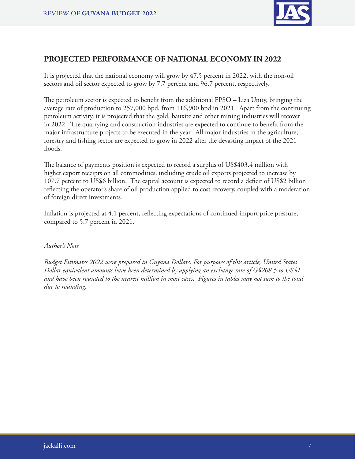

### **PROJECTED PERFORMANCE OF NATIONAL ECONOMY IN 2022**

It is projected that the national economy will grow by 47.5 percent in 2022, with the non-oil sectors and oil sector expected to grow by 7.7 percent and 96.7 percent, respectively.

The petroleum sector is expected to benefit from the additional FPSO – Liza Unity, bringing the average rate of production to 257,000 bpd, from 116,900 bpd in 2021. Apart from the continuing petroleum activity, it is projected that the gold, bauxite and other mining industries will recover in 2022. The quarrying and construction industries are expected to continue to benefit from the major infrastructure projects to be executed in the year. All major industries in the agriculture, forestry and fishing sector are expected to grow in 2022 after the devasting impact of the 2021 floods.

The balance of payments position is expected to record a surplus of US\$403.4 million with higher export receipts on all commodities, including crude oil exports projected to increase by 107.7 percent to US\$6 billion. The capital account is expected to record a deficit of US\$2 billion reflecting the operator's share of oil production applied to cost recovery, coupled with a moderation of foreign direct investments.

Inflation is projected at 4.1 percent, reflecting expectations of continued import price pressure, compared to 5.7 percent in 2021.

#### *Author's Note*

*Budget Estimates 2022 were prepared in Guyana Dollars. For purposes of this article, United States Dollar equivalent amounts have been determined by applying an exchange rate of G\$208.5 to US\$1 and have been rounded to the nearest million in most cases. Figures in tables may not sum to the total due to rounding.*